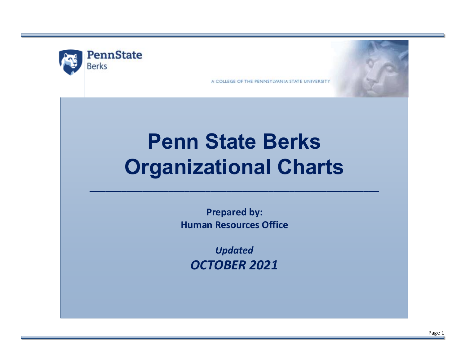

A COLLEGE OF THE PENNSYLVANIA STATE UNIVERSITY

# **Penn State Berks Organizational Charts**

**Prepared by: Human Resources Office**

\_\_\_\_\_\_\_\_\_\_\_\_\_\_\_\_\_\_\_\_\_\_\_\_\_\_\_\_\_\_\_\_\_\_\_\_\_\_\_\_\_\_\_\_\_\_\_\_\_\_\_\_\_\_\_

*Updated OCTOBER 2021*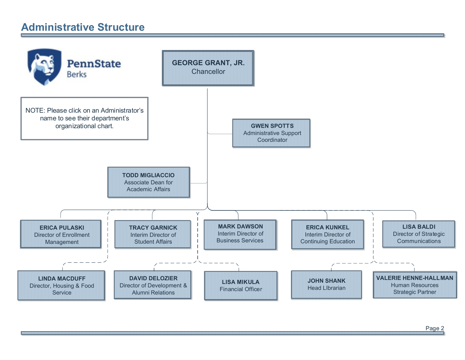## **Administrative Structure**

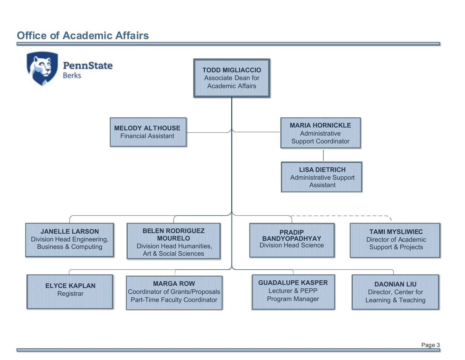## <span id="page-2-0"></span>**Office of Academic Affairs**

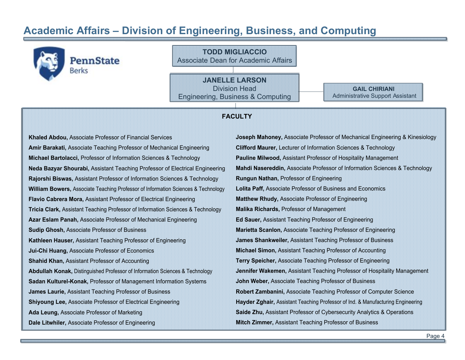#### <span id="page-3-0"></span>**Academic Affairs – Division of Engineering, Business, and Computing**

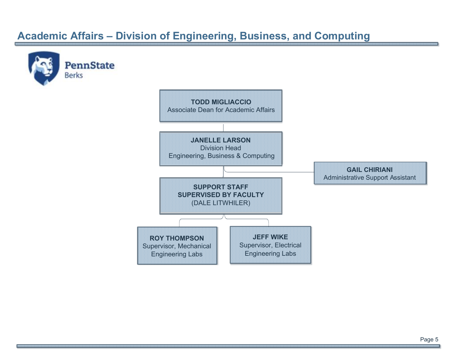## **Academic Affairs – Division of Engineering, Business, and Computing**

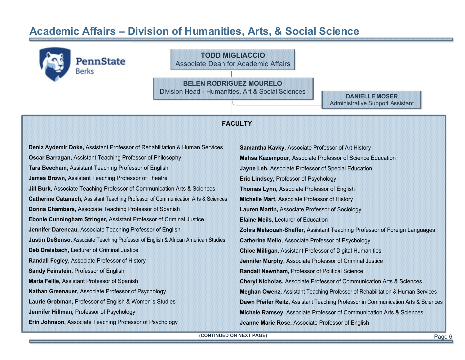#### <span id="page-5-0"></span>**Academic Affairs – Division of Humanities, Arts, & Social Science**

**TODD MIGLIACCIO PennState** Associate Dean for Academic Affairs **BELEN RODRIGUEZ MOURELO** Division Head - Humanities, Art & Social Sciences **DANIELLE MOSER** Administrative Support Assistant **FACULTYDeniz Aydemir Doke,** Assistant Professor of Rehabilitation & Human Services **Samantha Kavky,** Associate Professor of Art History **Oscar Barragan,** Assistant Teaching Professor of Philosophy **Mahsa Kazempour,** Associate Professor of Science Education **Tara Beecham,** Assistant Teaching Professor of English **Jayne Leh,** Associate Professor of Special Education **James Brown,** Assistant Teaching Professor of Theatre **Eric Lindsey,** Professor of Psychology **Jill Burk,** Associate Teaching Professor of Communication Arts & Sciences **Thomas Lynn,** Associate Professor of English **Catherine Catanach,** Assistant Teaching Professor of Communication Arts & Sciences **Michelle Mart,** Associate Professor of History **Donna Chambers,** Associate Teaching Professor of Spanish **Lauren Martin,** Associate Professor of Sociology **Ebonie Cunningham Stringer,** Assistant Professor of Criminal Justice **Elaine Meils,** Lecturer of Education **Jennifer Dareneau,** Associate Teaching Professor of English **Zohra Melaouah-Shaffer,** Assistant Teaching Professor of Foreign Languages **Justin DeSenso,** Associate Teaching Professor of English & African American Studies **Catherine Mello,** Associate Professor of Psychology **Deb Dreisbach,** Lecturer of Criminal Justice **Chloe Milligan,** Assistant Professor of Digital Humanities **Randall Fegley,** Associate Professor of History **Jennifer Murphy,** Associate Professor of Criminal Justice **Sandy Feinstein,** Professor of English **Randall Newnham,** Professor of Political Science **Maria Fellie,** Assistant Professor of Spanish **Cheryl Nicholas,** Associate Professor of Communication Arts & Sciences **Nathan Greenauer,** Associate Professor of Psychology **Meghan Owenz,** Assistant Teaching Professor of Rehabilitation & Human Services **Laurie Grobman,** Professor of English & Women´s Studies **Dawn Pfeifer Reitz,** Assistant Teaching Professor in Communication Arts & Sciences **Jennifer Hillman,** Professor of Psychology **Michele Ramsey,** Associate Professor of Communication Arts & Sciences **Erin Johnson,** Associate Teaching Professor of Psychology **Jeanne Marie Rose,** Associate Professor of English

**(CONTINUED ON NEXT PAGE)**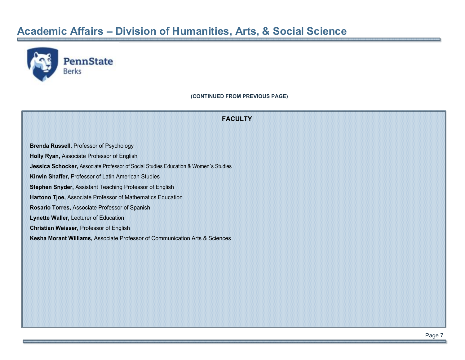## **Academic Affairs – Division of Humanities, Arts, & Social Science**



**(CONTINUED FROM PREVIOUS PAGE)**

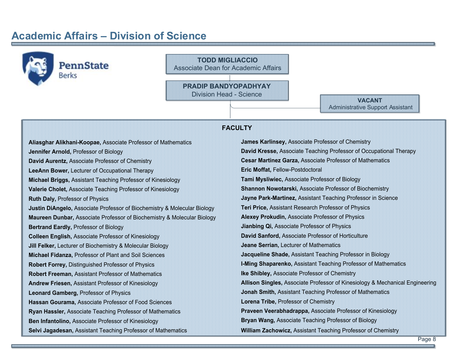#### <span id="page-7-0"></span>**Academic Affairs – Division of Science**

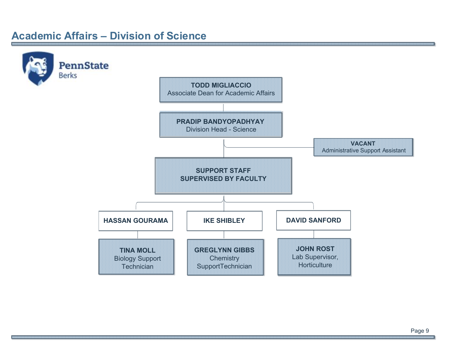#### **Academic Affairs – Division of Science**

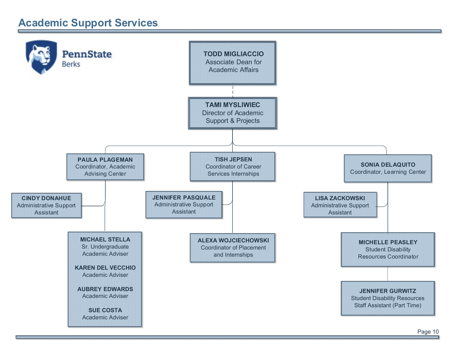# <span id="page-9-0"></span>**Academic Support Services**

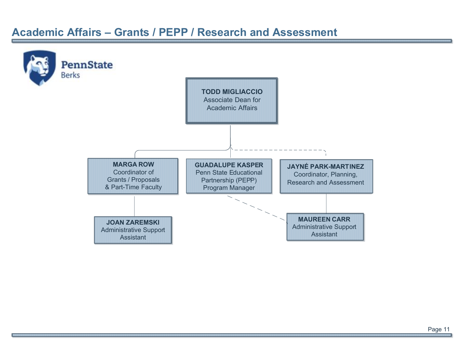#### <span id="page-10-0"></span>**Academic Affairs – Grants / PEPP / Research and Assessment**

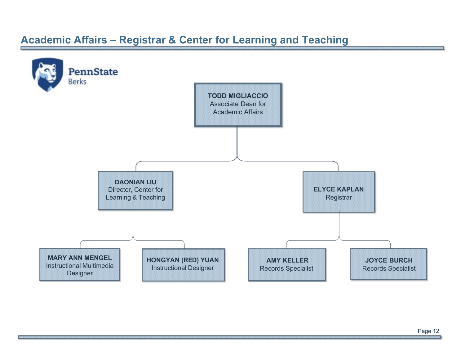# <span id="page-11-1"></span><span id="page-11-0"></span>**Academic Affairs – Registrar & Center for Learning and Teaching**

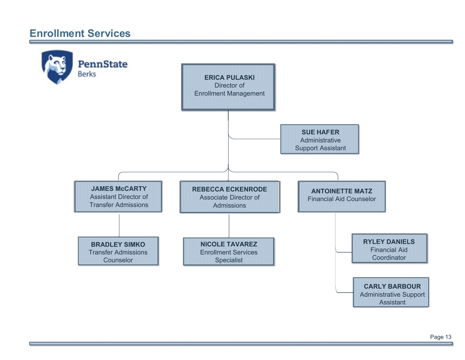#### <span id="page-12-0"></span>**Enrollment Services**

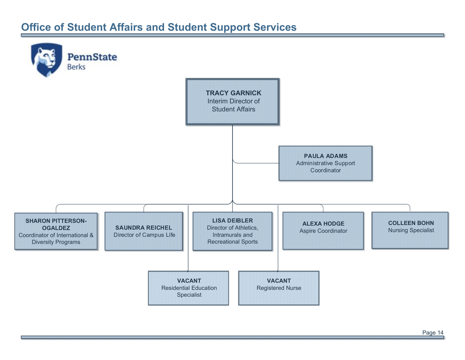# <span id="page-13-0"></span>**Office of Student Affairs and Student Support Services**

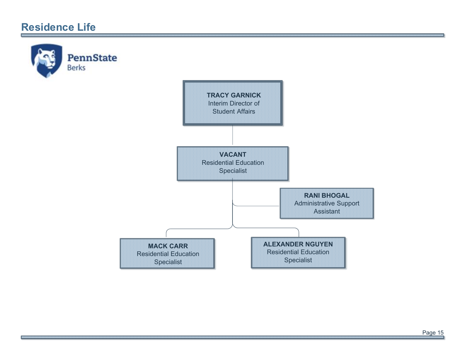### **Residence Life**

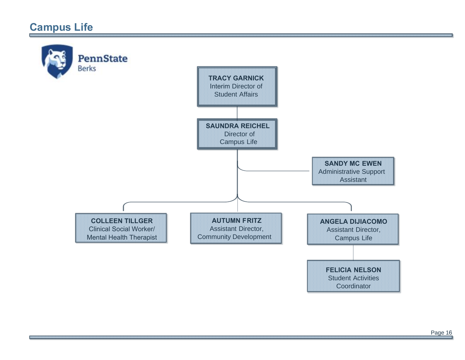## <span id="page-15-0"></span>**Campus Life**

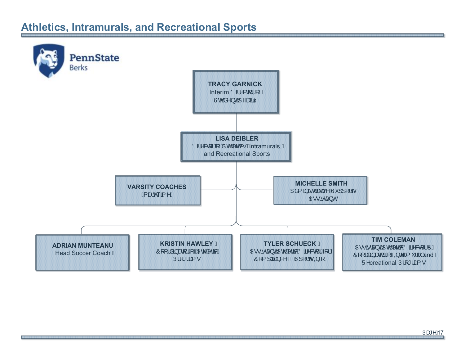## <span id="page-16-0"></span>**Athletics, Intramurals, and Recreational Sports**

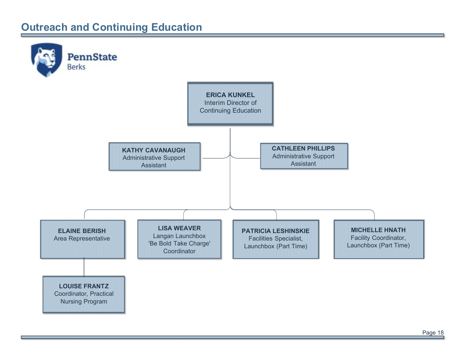## <span id="page-17-0"></span>**Outreach and Continuing Education**

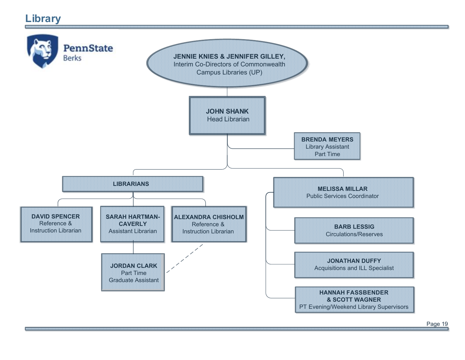# <span id="page-18-0"></span>**Library**



Page 19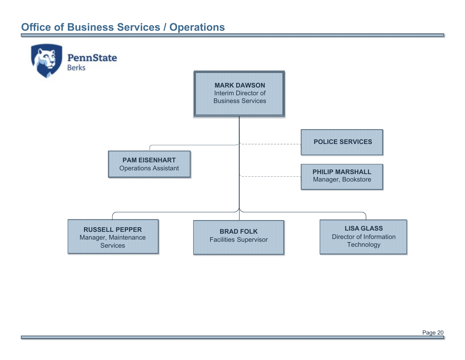# <span id="page-19-0"></span>**Office of Business Services / Operations**

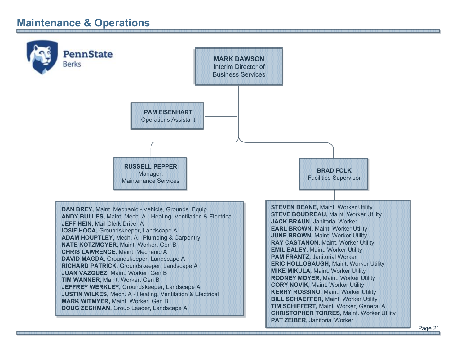# <span id="page-20-0"></span>**Maintenance & Operations**

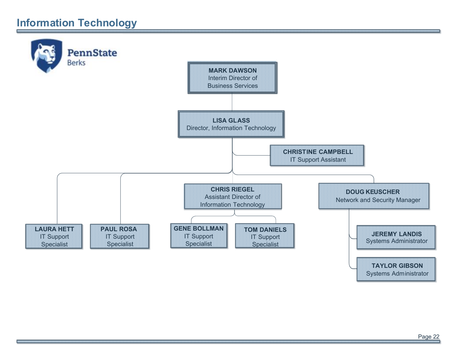# <span id="page-21-0"></span>**Information Technology**

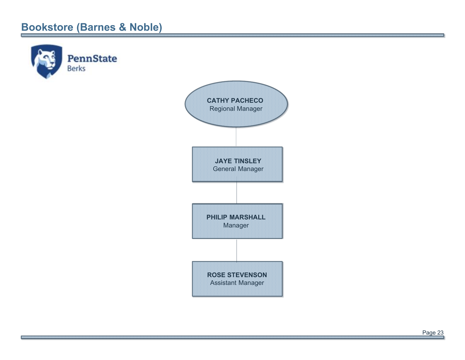# <span id="page-22-0"></span>**Bookstore (Barnes & Noble)**

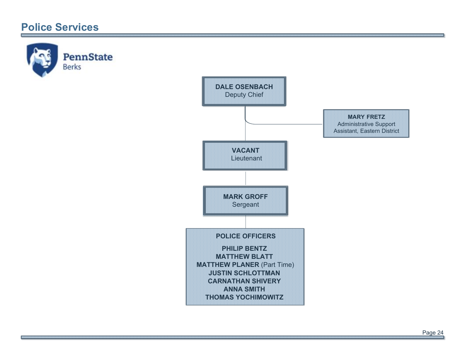### <span id="page-23-0"></span>**Police Services**

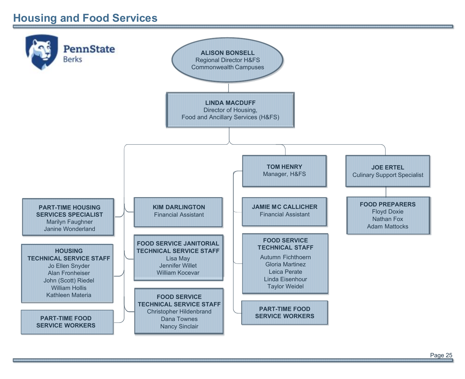# <span id="page-24-0"></span>**Housing and Food Services**

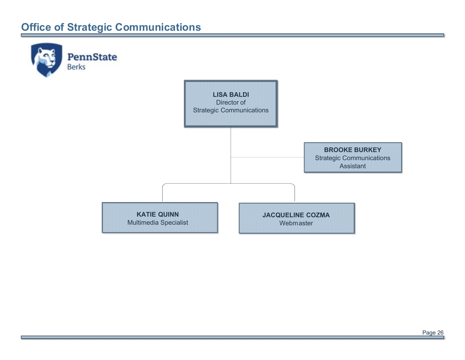# <span id="page-25-0"></span>**Office of Strategic Communications**

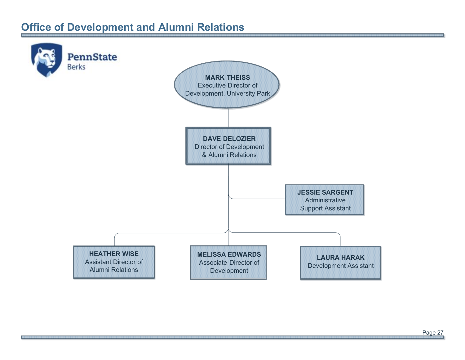# <span id="page-26-0"></span>**Office of Development and Alumni Relations**

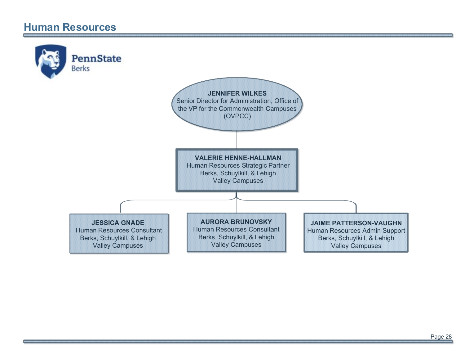#### <span id="page-27-0"></span>**Human Resources**